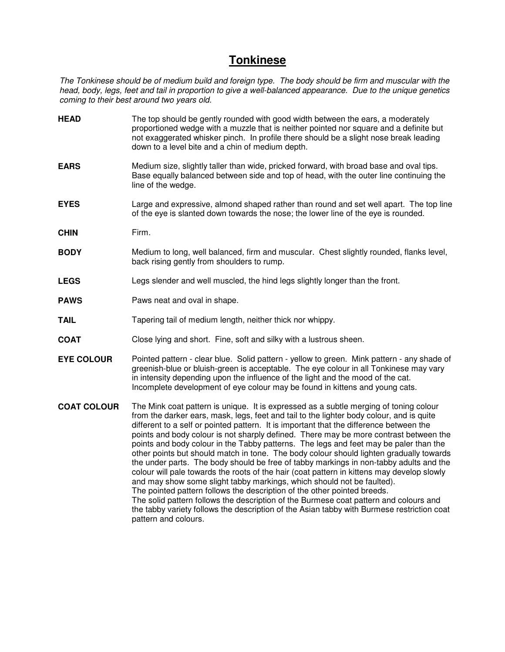# **Tonkinese**

The Tonkinese should be of medium build and foreign type. The body should be firm and muscular with the head, body, legs, feet and tail in proportion to give a well-balanced appearance. Due to the unique genetics coming to their best around two years old.

- **HEAD** The top should be gently rounded with good width between the ears, a moderately proportioned wedge with a muzzle that is neither pointed nor square and a definite but not exaggerated whisker pinch. In profile there should be a slight nose break leading down to a level bite and a chin of medium depth.
- **EARS** Medium size, slightly taller than wide, pricked forward, with broad base and oval tips. Base equally balanced between side and top of head, with the outer line continuing the line of the wedge.
- **EYES** Large and expressive, almond shaped rather than round and set well apart. The top line of the eye is slanted down towards the nose; the lower line of the eye is rounded.
- **CHIN** Firm.
- **BODY** Medium to long, well balanced, firm and muscular. Chest slightly rounded, flanks level, back rising gently from shoulders to rump.
- **LEGS** Legs slender and well muscled, the hind legs slightly longer than the front.
- **PAWS** Paws neat and oval in shape.
- **TAIL** Tapering tail of medium length, neither thick nor whippy.
- **COAT** Close lying and short. Fine, soft and silky with a lustrous sheen.
- **EYE COLOUR** Pointed pattern clear blue. Solid pattern yellow to green. Mink pattern any shade of greenish-blue or bluish-green is acceptable. The eye colour in all Tonkinese may vary in intensity depending upon the influence of the light and the mood of the cat. Incomplete development of eye colour may be found in kittens and young cats.
- **COAT COLOUR** The Mink coat pattern is unique. It is expressed as a subtle merging of toning colour from the darker ears, mask, legs, feet and tail to the lighter body colour, and is quite different to a self or pointed pattern. It is important that the difference between the points and body colour is not sharply defined. There may be more contrast between the points and body colour in the Tabby patterns. The legs and feet may be paler than the other points but should match in tone. The body colour should lighten gradually towards the under parts. The body should be free of tabby markings in non-tabby adults and the colour will pale towards the roots of the hair (coat pattern in kittens may develop slowly and may show some slight tabby markings, which should not be faulted). The pointed pattern follows the description of the other pointed breeds. The solid pattern follows the description of the Burmese coat pattern and colours and the tabby variety follows the description of the Asian tabby with Burmese restriction coat pattern and colours.